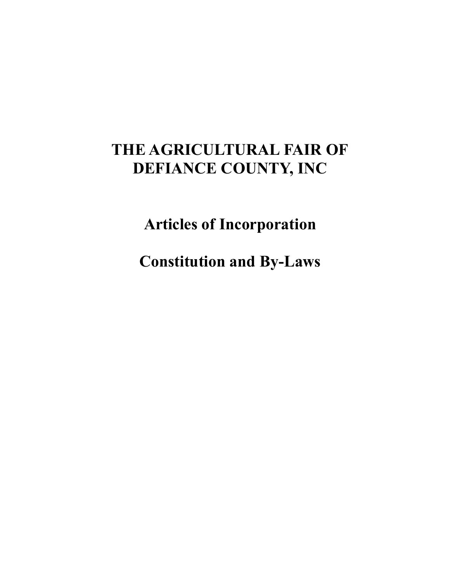# **THE AGRICULTURAL FAIR OF DEFIANCE COUNTY, INC**

**Articles of Incorporation**

**Constitution and By-Laws**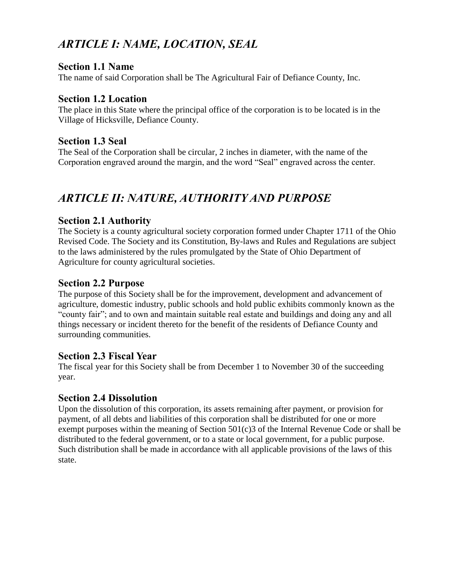# *ARTICLE I: NAME, LOCATION, SEAL*

#### **Section 1.1 Name**

The name of said Corporation shall be The Agricultural Fair of Defiance County, Inc.

#### **Section 1.2 Location**

The place in this State where the principal office of the corporation is to be located is in the Village of Hicksville, Defiance County.

#### **Section 1.3 Seal**

The Seal of the Corporation shall be circular, 2 inches in diameter, with the name of the Corporation engraved around the margin, and the word "Seal" engraved across the center.

# *ARTICLE II: NATURE, AUTHORITY AND PURPOSE*

#### **Section 2.1 Authority**

The Society is a county agricultural society corporation formed under Chapter 1711 of the Ohio Revised Code. The Society and its Constitution, By-laws and Rules and Regulations are subject to the laws administered by the rules promulgated by the State of Ohio Department of Agriculture for county agricultural societies.

## **Section 2.2 Purpose**

The purpose of this Society shall be for the improvement, development and advancement of agriculture, domestic industry, public schools and hold public exhibits commonly known as the "county fair"; and to own and maintain suitable real estate and buildings and doing any and all things necessary or incident thereto for the benefit of the residents of Defiance County and surrounding communities.

#### **Section 2.3 Fiscal Year**

The fiscal year for this Society shall be from December 1 to November 30 of the succeeding year.

## **Section 2.4 Dissolution**

Upon the dissolution of this corporation, its assets remaining after payment, or provision for payment, of all debts and liabilities of this corporation shall be distributed for one or more exempt purposes within the meaning of Section  $501(c)3$  of the Internal Revenue Code or shall be distributed to the federal government, or to a state or local government, for a public purpose. Such distribution shall be made in accordance with all applicable provisions of the laws of this state.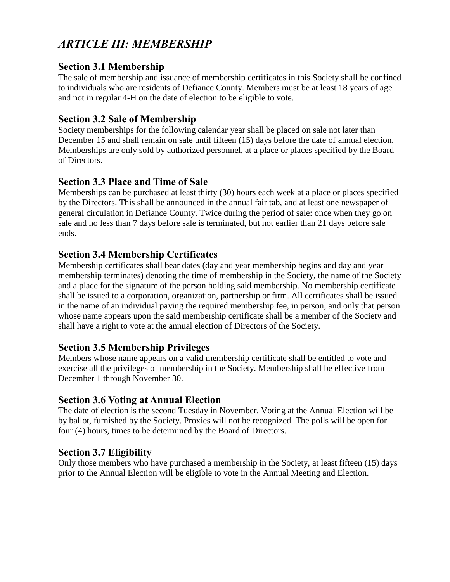# *ARTICLE III: MEMBERSHIP*

## **Section 3.1 Membership**

The sale of membership and issuance of membership certificates in this Society shall be confined to individuals who are residents of Defiance County. Members must be at least 18 years of age and not in regular 4-H on the date of election to be eligible to vote.

# **Section 3.2 Sale of Membership**

Society memberships for the following calendar year shall be placed on sale not later than December 15 and shall remain on sale until fifteen (15) days before the date of annual election. Memberships are only sold by authorized personnel, at a place or places specified by the Board of Directors.

# **Section 3.3 Place and Time of Sale**

Memberships can be purchased at least thirty (30) hours each week at a place or places specified by the Directors. This shall be announced in the annual fair tab, and at least one newspaper of general circulation in Defiance County. Twice during the period of sale: once when they go on sale and no less than 7 days before sale is terminated, but not earlier than 21 days before sale ends.

# **Section 3.4 Membership Certificates**

Membership certificates shall bear dates (day and year membership begins and day and year membership terminates) denoting the time of membership in the Society, the name of the Society and a place for the signature of the person holding said membership. No membership certificate shall be issued to a corporation, organization, partnership or firm. All certificates shall be issued in the name of an individual paying the required membership fee, in person, and only that person whose name appears upon the said membership certificate shall be a member of the Society and shall have a right to vote at the annual election of Directors of the Society.

## **Section 3.5 Membership Privileges**

Members whose name appears on a valid membership certificate shall be entitled to vote and exercise all the privileges of membership in the Society. Membership shall be effective from December 1 through November 30.

## **Section 3.6 Voting at Annual Election**

The date of election is the second Tuesday in November. Voting at the Annual Election will be by ballot, furnished by the Society. Proxies will not be recognized. The polls will be open for four (4) hours, times to be determined by the Board of Directors.

# **Section 3.7 Eligibility**

Only those members who have purchased a membership in the Society, at least fifteen (15) days prior to the Annual Election will be eligible to vote in the Annual Meeting and Election.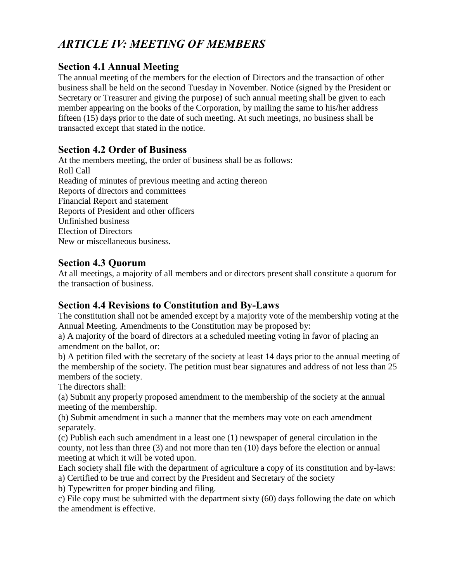# *ARTICLE IV: MEETING OF MEMBERS*

# **Section 4.1 Annual Meeting**

The annual meeting of the members for the election of Directors and the transaction of other business shall be held on the second Tuesday in November. Notice (signed by the President or Secretary or Treasurer and giving the purpose) of such annual meeting shall be given to each member appearing on the books of the Corporation, by mailing the same to his/her address fifteen (15) days prior to the date of such meeting. At such meetings, no business shall be transacted except that stated in the notice.

## **Section 4.2 Order of Business**

At the members meeting, the order of business shall be as follows: Roll Call Reading of minutes of previous meeting and acting thereon Reports of directors and committees Financial Report and statement Reports of President and other officers Unfinished business Election of Directors New or miscellaneous business.

## **Section 4.3 Quorum**

At all meetings, a majority of all members and or directors present shall constitute a quorum for the transaction of business.

## **Section 4.4 Revisions to Constitution and By-Laws**

The constitution shall not be amended except by a majority vote of the membership voting at the Annual Meeting. Amendments to the Constitution may be proposed by:

a) A majority of the board of directors at a scheduled meeting voting in favor of placing an amendment on the ballot, or:

b) A petition filed with the secretary of the society at least 14 days prior to the annual meeting of the membership of the society. The petition must bear signatures and address of not less than 25 members of the society.

The directors shall:

(a) Submit any properly proposed amendment to the membership of the society at the annual meeting of the membership.

(b) Submit amendment in such a manner that the members may vote on each amendment separately.

(c) Publish each such amendment in a least one (1) newspaper of general circulation in the county, not less than three (3) and not more than ten (10) days before the election or annual meeting at which it will be voted upon.

Each society shall file with the department of agriculture a copy of its constitution and by-laws: a) Certified to be true and correct by the President and Secretary of the society

b) Typewritten for proper binding and filing.

c) File copy must be submitted with the department sixty (60) days following the date on which the amendment is effective.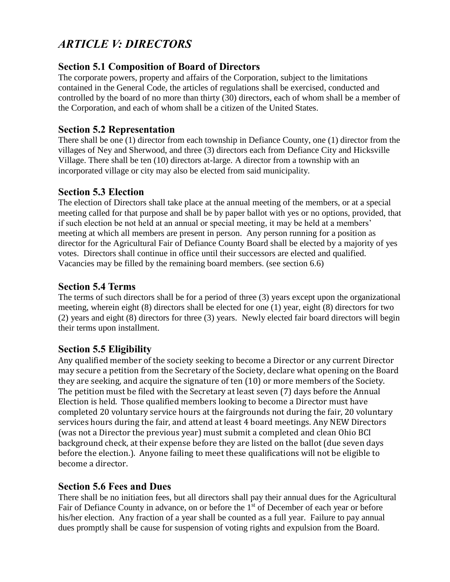# *ARTICLE V: DIRECTORS*

# **Section 5.1 Composition of Board of Directors**

The corporate powers, property and affairs of the Corporation, subject to the limitations contained in the General Code, the articles of regulations shall be exercised, conducted and controlled by the board of no more than thirty (30) directors, each of whom shall be a member of the Corporation, and each of whom shall be a citizen of the United States.

# **Section 5.2 Representation**

There shall be one (1) director from each township in Defiance County, one (1) director from the villages of Ney and Sherwood, and three (3) directors each from Defiance City and Hicksville Village. There shall be ten (10) directors at-large. A director from a township with an incorporated village or city may also be elected from said municipality.

# **Section 5.3 Election**

The election of Directors shall take place at the annual meeting of the members, or at a special meeting called for that purpose and shall be by paper ballot with yes or no options, provided, that if such election be not held at an annual or special meeting, it may be held at a members' meeting at which all members are present in person. Any person running for a position as director for the Agricultural Fair of Defiance County Board shall be elected by a majority of yes votes. Directors shall continue in office until their successors are elected and qualified. Vacancies may be filled by the remaining board members. (see section 6.6)

# **Section 5.4 Terms**

The terms of such directors shall be for a period of three (3) years except upon the organizational meeting, wherein eight (8) directors shall be elected for one (1) year, eight (8) directors for two (2) years and eight (8) directors for three (3) years. Newly elected fair board directors will begin their terms upon installment.

## **Section 5.5 Eligibility**

Any qualified member of the society seeking to become a Director or any current Director may secure a petition from the Secretary of the Society, declare what opening on the Board they are seeking, and acquire the signature of ten (10) or more members of the Society. The petition must be filed with the Secretary at least seven (7) days before the Annual Election is held. Those qualified members looking to become a Director must have completed 20 voluntary service hours at the fairgrounds not during the fair, 20 voluntary services hours during the fair, and attend at least 4 board meetings. Any NEW Directors (was not a Director the previous year) must submit a completed and clean Ohio BCI background check, at their expense before they are listed on the ballot (due seven days before the election.). Anyone failing to meet these qualifications will not be eligible to become a director.

## **Section 5.6 Fees and Dues**

There shall be no initiation fees, but all directors shall pay their annual dues for the Agricultural Fair of Defiance County in advance, on or before the 1<sup>st</sup> of December of each year or before his/her election. Any fraction of a year shall be counted as a full year. Failure to pay annual dues promptly shall be cause for suspension of voting rights and expulsion from the Board.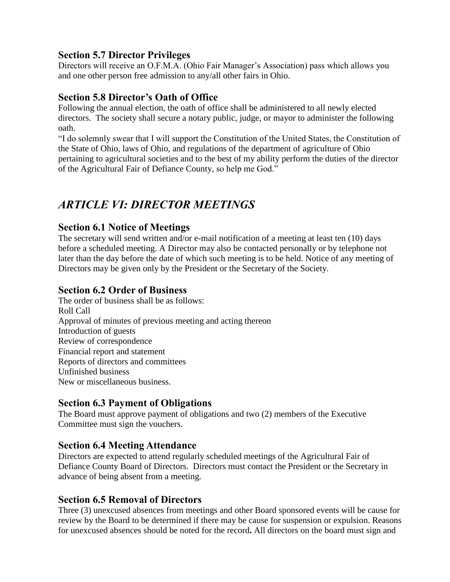# **Section 5.7 Director Privileges**

Directors will receive an O.F.M.A. (Ohio Fair Manager's Association) pass which allows you and one other person free admission to any/all other fairs in Ohio.

# **Section 5.8 Director's Oath of Office**

Following the annual election, the oath of office shall be administered to all newly elected directors. The society shall secure a notary public, judge, or mayor to administer the following oath.

"I do solemnly swear that I will support the Constitution of the United States, the Constitution of the State of Ohio, laws of Ohio, and regulations of the department of agriculture of Ohio pertaining to agricultural societies and to the best of my ability perform the duties of the director of the Agricultural Fair of Defiance County, so help me God."

# *ARTICLE VI: DIRECTOR MEETINGS*

## **Section 6.1 Notice of Meetings**

The secretary will send written and/or e-mail notification of a meeting at least ten (10) days before a scheduled meeting. A Director may also be contacted personally or by telephone not later than the day before the date of which such meeting is to be held. Notice of any meeting of Directors may be given only by the President or the Secretary of the Society.

## **Section 6.2 Order of Business**

The order of business shall be as follows: Roll Call Approval of minutes of previous meeting and acting thereon Introduction of guests Review of correspondence Financial report and statement Reports of directors and committees Unfinished business New or miscellaneous business.

# **Section 6.3 Payment of Obligations**

The Board must approve payment of obligations and two (2) members of the Executive Committee must sign the vouchers.

# **Section 6.4 Meeting Attendance**

Directors are expected to attend regularly scheduled meetings of the Agricultural Fair of Defiance County Board of Directors. Directors must contact the President or the Secretary in advance of being absent from a meeting.

## **Section 6.5 Removal of Directors**

Three (3) unexcused absences from meetings and other Board sponsored events will be cause for review by the Board to be determined if there may be cause for suspension or expulsion. Reasons for unexcused absences should be noted for the record**.** All directors on the board must sign and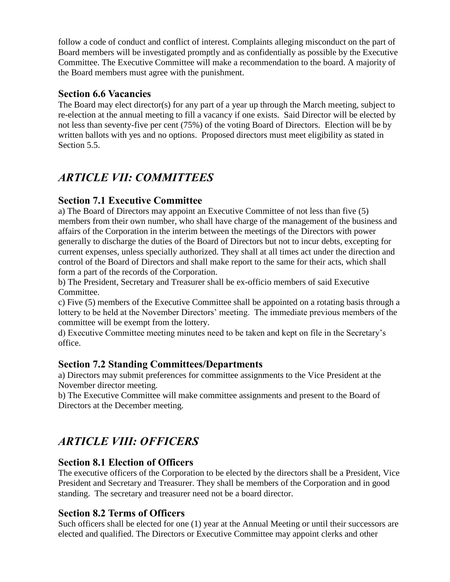follow a code of conduct and conflict of interest. Complaints alleging misconduct on the part of Board members will be investigated promptly and as confidentially as possible by the Executive Committee. The Executive Committee will make a recommendation to the board. A majority of the Board members must agree with the punishment.

# **Section 6.6 Vacancies**

The Board may elect director(s) for any part of a year up through the March meeting, subject to re-election at the annual meeting to fill a vacancy if one exists. Said Director will be elected by not less than seventy-five per cent (75%) of the voting Board of Directors. Election will be by written ballots with yes and no options. Proposed directors must meet eligibility as stated in Section 5.5.

# *ARTICLE VII: COMMITTEES*

# **Section 7.1 Executive Committee**

a) The Board of Directors may appoint an Executive Committee of not less than five (5) members from their own number, who shall have charge of the management of the business and affairs of the Corporation in the interim between the meetings of the Directors with power generally to discharge the duties of the Board of Directors but not to incur debts, excepting for current expenses, unless specially authorized. They shall at all times act under the direction and control of the Board of Directors and shall make report to the same for their acts, which shall form a part of the records of the Corporation.

b) The President, Secretary and Treasurer shall be ex-officio members of said Executive Committee.

c) Five (5) members of the Executive Committee shall be appointed on a rotating basis through a lottery to be held at the November Directors' meeting. The immediate previous members of the committee will be exempt from the lottery.

d) Executive Committee meeting minutes need to be taken and kept on file in the Secretary's office.

## **Section 7.2 Standing Committees/Departments**

a) Directors may submit preferences for committee assignments to the Vice President at the November director meeting.

b) The Executive Committee will make committee assignments and present to the Board of Directors at the December meeting.

# *ARTICLE VIII: OFFICERS*

## **Section 8.1 Election of Officers**

The executive officers of the Corporation to be elected by the directors shall be a President, Vice President and Secretary and Treasurer. They shall be members of the Corporation and in good standing. The secretary and treasurer need not be a board director.

# **Section 8.2 Terms of Officers**

Such officers shall be elected for one (1) year at the Annual Meeting or until their successors are elected and qualified. The Directors or Executive Committee may appoint clerks and other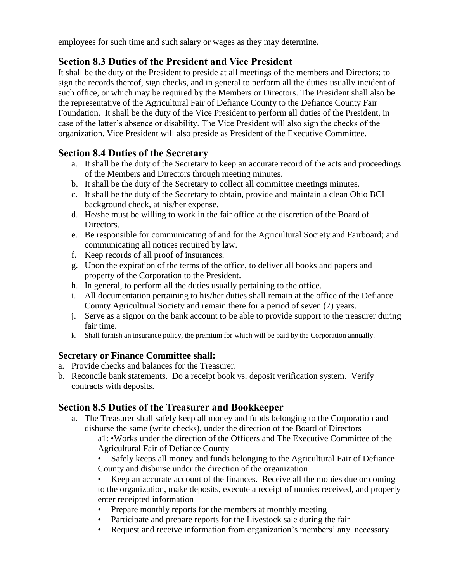employees for such time and such salary or wages as they may determine.

# **Section 8.3 Duties of the President and Vice President**

It shall be the duty of the President to preside at all meetings of the members and Directors; to sign the records thereof, sign checks, and in general to perform all the duties usually incident of such office, or which may be required by the Members or Directors. The President shall also be the representative of the Agricultural Fair of Defiance County to the Defiance County Fair Foundation. It shall be the duty of the Vice President to perform all duties of the President, in case of the latter's absence or disability. The Vice President will also sign the checks of the organization. Vice President will also preside as President of the Executive Committee.

# **Section 8.4 Duties of the Secretary**

- a. It shall be the duty of the Secretary to keep an accurate record of the acts and proceedings of the Members and Directors through meeting minutes.
- b. It shall be the duty of the Secretary to collect all committee meetings minutes.
- c. It shall be the duty of the Secretary to obtain, provide and maintain a clean Ohio BCI background check, at his/her expense.
- d. He/she must be willing to work in the fair office at the discretion of the Board of Directors.
- e. Be responsible for communicating of and for the Agricultural Society and Fairboard; and communicating all notices required by law.
- f. Keep records of all proof of insurances.
- g. Upon the expiration of the terms of the office, to deliver all books and papers and property of the Corporation to the President.
- h. In general, to perform all the duties usually pertaining to the office.
- i. All documentation pertaining to his/her duties shall remain at the office of the Defiance County Agricultural Society and remain there for a period of seven (7) years.
- j. Serve as a signor on the bank account to be able to provide support to the treasurer during fair time.
- k. Shall furnish an insurance policy, the premium for which will be paid by the Corporation annually.

## **Secretary or Finance Committee shall:**

- a. Provide checks and balances for the Treasurer.
- b. Reconcile bank statements. Do a receipt book vs. deposit verification system. Verify contracts with deposits.

# **Section 8.5 Duties of the Treasurer and Bookkeeper**

a. The Treasurer shall safely keep all money and funds belonging to the Corporation and disburse the same (write checks), under the direction of the Board of Directors

a1: •Works under the direction of the Officers and The Executive Committee of the Agricultural Fair of Defiance County

• Safely keeps all money and funds belonging to the Agricultural Fair of Defiance County and disburse under the direction of the organization

Keep an accurate account of the finances. Receive all the monies due or coming to the organization, make deposits, execute a receipt of monies received, and properly enter receipted information

- Prepare monthly reports for the members at monthly meeting
- Participate and prepare reports for the Livestock sale during the fair
- Request and receive information from organization's members' any necessary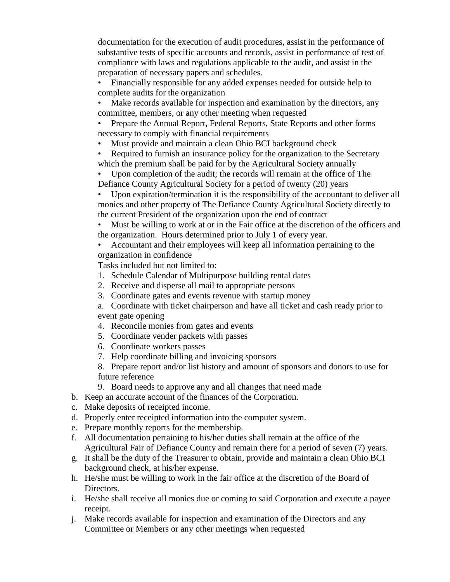documentation for the execution of audit procedures, assist in the performance of substantive tests of specific accounts and records, assist in performance of test of compliance with laws and regulations applicable to the audit, and assist in the preparation of necessary papers and schedules.

- Financially responsible for any added expenses needed for outside help to complete audits for the organization
- Make records available for inspection and examination by the directors, any committee, members, or any other meeting when requested
- Prepare the Annual Report, Federal Reports, State Reports and other forms necessary to comply with financial requirements
- Must provide and maintain a clean Ohio BCI background check
- Required to furnish an insurance policy for the organization to the Secretary which the premium shall be paid for by the Agricultural Society annually
- Upon completion of the audit; the records will remain at the office of The Defiance County Agricultural Society for a period of twenty (20) years
- Upon expiration/termination it is the responsibility of the accountant to deliver all monies and other property of The Defiance County Agricultural Society directly to the current President of the organization upon the end of contract
- Must be willing to work at or in the Fair office at the discretion of the officers and the organization. Hours determined prior to July 1 of every year.
- Accountant and their employees will keep all information pertaining to the organization in confidence

Tasks included but not limited to:

- 1. Schedule Calendar of Multipurpose building rental dates
- 2. Receive and disperse all mail to appropriate persons
- 3. Coordinate gates and events revenue with startup money
- a. Coordinate with ticket chairperson and have all ticket and cash ready prior to event gate opening
- 4. Reconcile monies from gates and events
- 5. Coordinate vender packets with passes
- 6. Coordinate workers passes
- 7. Help coordinate billing and invoicing sponsors
- 8. Prepare report and/or list history and amount of sponsors and donors to use for future reference
- 9. Board needs to approve any and all changes that need made
- b. Keep an accurate account of the finances of the Corporation.
- c. Make deposits of receipted income.
- d. Properly enter receipted information into the computer system.
- e. Prepare monthly reports for the membership.
- f. All documentation pertaining to his/her duties shall remain at the office of the Agricultural Fair of Defiance County and remain there for a period of seven (7) years.
- g. It shall be the duty of the Treasurer to obtain, provide and maintain a clean Ohio BCI background check, at his/her expense.
- h. He/she must be willing to work in the fair office at the discretion of the Board of Directors.
- i. He/she shall receive all monies due or coming to said Corporation and execute a payee receipt.
- j. Make records available for inspection and examination of the Directors and any Committee or Members or any other meetings when requested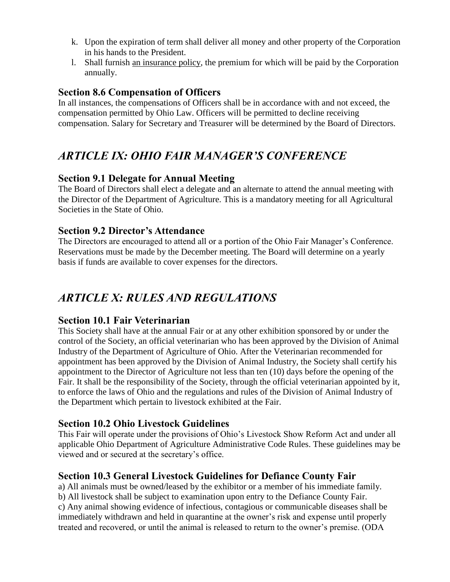- k. Upon the expiration of term shall deliver all money and other property of the Corporation in his hands to the President.
- l. Shall furnish an insurance policy, the premium for which will be paid by the Corporation annually.

# **Section 8.6 Compensation of Officers**

In all instances, the compensations of Officers shall be in accordance with and not exceed, the compensation permitted by Ohio Law. Officers will be permitted to decline receiving compensation. Salary for Secretary and Treasurer will be determined by the Board of Directors.

# *ARTICLE IX: OHIO FAIR MANAGER'S CONFERENCE*

## **Section 9.1 Delegate for Annual Meeting**

The Board of Directors shall elect a delegate and an alternate to attend the annual meeting with the Director of the Department of Agriculture. This is a mandatory meeting for all Agricultural Societies in the State of Ohio.

#### **Section 9.2 Director's Attendance**

The Directors are encouraged to attend all or a portion of the Ohio Fair Manager's Conference. Reservations must be made by the December meeting. The Board will determine on a yearly basis if funds are available to cover expenses for the directors.

# *ARTICLE X: RULES AND REGULATIONS*

## **Section 10.1 Fair Veterinarian**

This Society shall have at the annual Fair or at any other exhibition sponsored by or under the control of the Society, an official veterinarian who has been approved by the Division of Animal Industry of the Department of Agriculture of Ohio. After the Veterinarian recommended for appointment has been approved by the Division of Animal Industry, the Society shall certify his appointment to the Director of Agriculture not less than ten (10) days before the opening of the Fair. It shall be the responsibility of the Society, through the official veterinarian appointed by it, to enforce the laws of Ohio and the regulations and rules of the Division of Animal Industry of the Department which pertain to livestock exhibited at the Fair.

## **Section 10.2 Ohio Livestock Guidelines**

This Fair will operate under the provisions of Ohio's Livestock Show Reform Act and under all applicable Ohio Department of Agriculture Administrative Code Rules. These guidelines may be viewed and or secured at the secretary's office.

## **Section 10.3 General Livestock Guidelines for Defiance County Fair**

a) All animals must be owned/leased by the exhibitor or a member of his immediate family. b) All livestock shall be subject to examination upon entry to the Defiance County Fair. c) Any animal showing evidence of infectious, contagious or communicable diseases shall be immediately withdrawn and held in quarantine at the owner's risk and expense until properly treated and recovered, or until the animal is released to return to the owner's premise. (ODA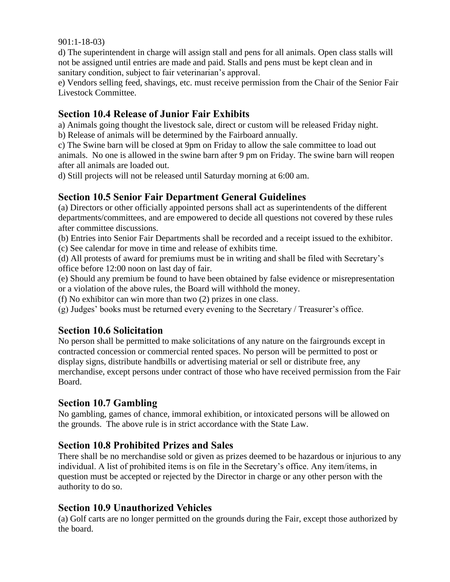901:1-18-03)

d) The superintendent in charge will assign stall and pens for all animals. Open class stalls will not be assigned until entries are made and paid. Stalls and pens must be kept clean and in sanitary condition, subject to fair veterinarian's approval.

e) Vendors selling feed, shavings, etc. must receive permission from the Chair of the Senior Fair Livestock Committee.

## **Section 10.4 Release of Junior Fair Exhibits**

a) Animals going thought the livestock sale, direct or custom will be released Friday night.

b) Release of animals will be determined by the Fairboard annually.

c) The Swine barn will be closed at 9pm on Friday to allow the sale committee to load out animals. No one is allowed in the swine barn after 9 pm on Friday. The swine barn will reopen after all animals are loaded out.

d) Still projects will not be released until Saturday morning at 6:00 am.

# **Section 10.5 Senior Fair Department General Guidelines**

(a) Directors or other officially appointed persons shall act as superintendents of the different departments/committees, and are empowered to decide all questions not covered by these rules after committee discussions.

(b) Entries into Senior Fair Departments shall be recorded and a receipt issued to the exhibitor. (c) See calendar for move in time and release of exhibits time.

(d) All protests of award for premiums must be in writing and shall be filed with Secretary's

office before 12:00 noon on last day of fair.

(e) Should any premium be found to have been obtained by false evidence or misrepresentation or a violation of the above rules, the Board will withhold the money.

(f) No exhibitor can win more than two (2) prizes in one class.

(g) Judges' books must be returned every evening to the Secretary / Treasurer's office.

# **Section 10.6 Solicitation**

No person shall be permitted to make solicitations of any nature on the fairgrounds except in contracted concession or commercial rented spaces. No person will be permitted to post or display signs, distribute handbills or advertising material or sell or distribute free, any merchandise, except persons under contract of those who have received permission from the Fair Board.

## **Section 10.7 Gambling**

No gambling, games of chance, immoral exhibition, or intoxicated persons will be allowed on the grounds. The above rule is in strict accordance with the State Law.

## **Section 10.8 Prohibited Prizes and Sales**

There shall be no merchandise sold or given as prizes deemed to be hazardous or injurious to any individual. A list of prohibited items is on file in the Secretary's office. Any item/items, in question must be accepted or rejected by the Director in charge or any other person with the authority to do so.

## **Section 10.9 Unauthorized Vehicles**

(a) Golf carts are no longer permitted on the grounds during the Fair, except those authorized by the board.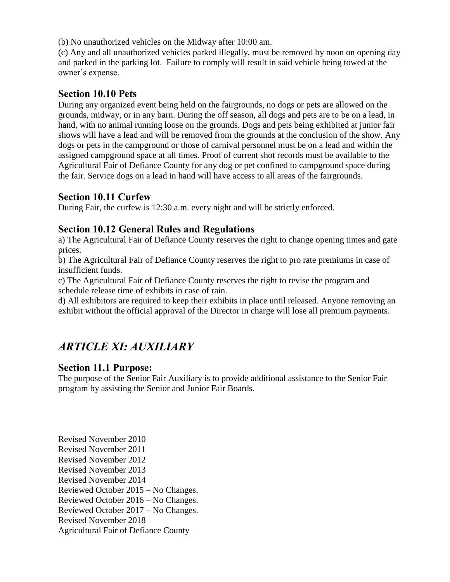(b) No unauthorized vehicles on the Midway after 10:00 am.

(c) Any and all unauthorized vehicles parked illegally, must be removed by noon on opening day and parked in the parking lot. Failure to comply will result in said vehicle being towed at the owner's expense.

# **Section 10.10 Pets**

During any organized event being held on the fairgrounds, no dogs or pets are allowed on the grounds, midway, or in any barn. During the off season, all dogs and pets are to be on a lead, in hand, with no animal running loose on the grounds. Dogs and pets being exhibited at junior fair shows will have a lead and will be removed from the grounds at the conclusion of the show. Any dogs or pets in the campground or those of carnival personnel must be on a lead and within the assigned campground space at all times. Proof of current shot records must be available to the Agricultural Fair of Defiance County for any dog or pet confined to campground space during the fair. Service dogs on a lead in hand will have access to all areas of the fairgrounds.

# **Section 10.11 Curfew**

During Fair, the curfew is 12:30 a.m. every night and will be strictly enforced.

## **Section 10.12 General Rules and Regulations**

a) The Agricultural Fair of Defiance County reserves the right to change opening times and gate prices.

b) The Agricultural Fair of Defiance County reserves the right to pro rate premiums in case of insufficient funds.

c) The Agricultural Fair of Defiance County reserves the right to revise the program and schedule release time of exhibits in case of rain.

d) All exhibitors are required to keep their exhibits in place until released. Anyone removing an exhibit without the official approval of the Director in charge will lose all premium payments.

# *ARTICLE XI: AUXILIARY*

## **Section 11.1 Purpose:**

The purpose of the Senior Fair Auxiliary is to provide additional assistance to the Senior Fair program by assisting the Senior and Junior Fair Boards.

Revised November 2010 Revised November 2011 Revised November 2012 Revised November 2013 Revised November 2014 Reviewed October 2015 – No Changes. Reviewed October 2016 – No Changes. Reviewed October 2017 – No Changes. Revised November 2018 Agricultural Fair of Defiance County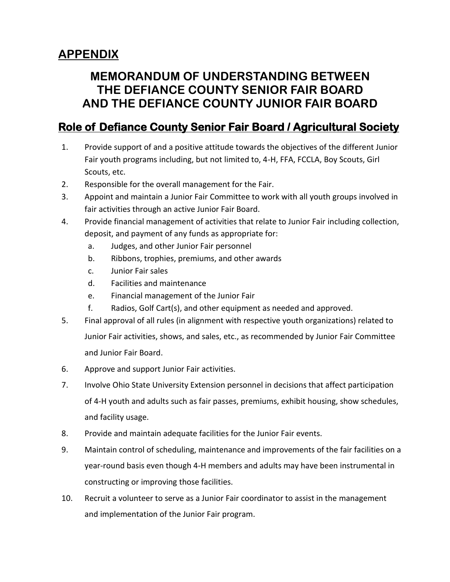# **APPENDIX**

# **MEMORANDUM OF UNDERSTANDING BETWEEN THE DEFIANCE COUNTY SENIOR FAIR BOARD AND THE DEFIANCE COUNTY JUNIOR FAIR BOARD**

# **Role of Defiance County Senior Fair Board / Agricultural Society**

- 1. Provide support of and a positive attitude towards the objectives of the different Junior Fair youth programs including, but not limited to, 4-H, FFA, FCCLA, Boy Scouts, Girl Scouts, etc.
- 2. Responsible for the overall management for the Fair.
- 3. Appoint and maintain a Junior Fair Committee to work with all youth groups involved in fair activities through an active Junior Fair Board.
- 4. Provide financial management of activities that relate to Junior Fair including collection, deposit, and payment of any funds as appropriate for:
	- a. Judges, and other Junior Fair personnel
	- b. Ribbons, trophies, premiums, and other awards
	- c. Junior Fair sales
	- d. Facilities and maintenance
	- e. Financial management of the Junior Fair
	- f. Radios, Golf Cart(s), and other equipment as needed and approved.
- 5. Final approval of all rules (in alignment with respective youth organizations) related to Junior Fair activities, shows, and sales, etc., as recommended by Junior Fair Committee and Junior Fair Board.
- 6. Approve and support Junior Fair activities.
- 7. Involve Ohio State University Extension personnel in decisions that affect participation of 4-H youth and adults such as fair passes, premiums, exhibit housing, show schedules, and facility usage.
- 8. Provide and maintain adequate facilities for the Junior Fair events.
- 9. Maintain control of scheduling, maintenance and improvements of the fair facilities on a year-round basis even though 4-H members and adults may have been instrumental in constructing or improving those facilities.
- 10. Recruit a volunteer to serve as a Junior Fair coordinator to assist in the management and implementation of the Junior Fair program.